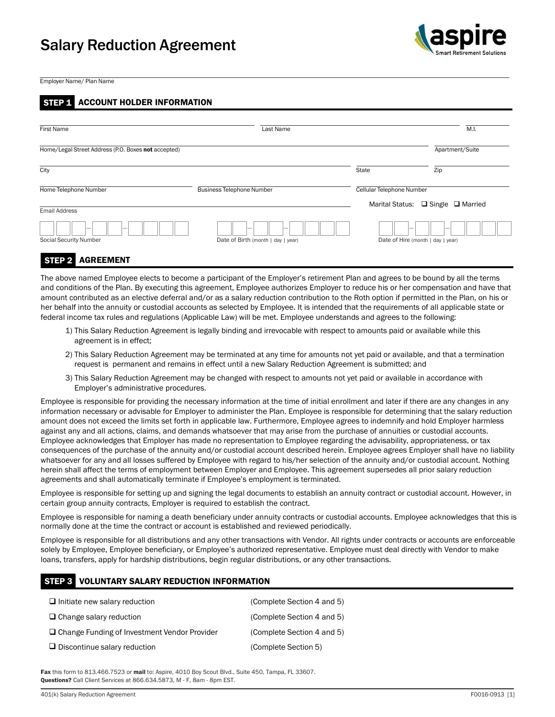# Salary Reduction Agreement



Employer Name/ Plan Name

## STEP 1 ACCOUNT HOLDER INFORMATION

| <b>First Name</b>                                   | Last Name                          |                                                                 | M.I.            |
|-----------------------------------------------------|------------------------------------|-----------------------------------------------------------------|-----------------|
| Home/Legal Street Address (P.O. Boxes not accepted) |                                    |                                                                 | Apartment/Suite |
| City                                                |                                    | State                                                           | Zip             |
| Home Telephone Number                               | <b>Business Telephone Number</b>   | Cellular Telephone Number<br>Marital Status: □ Single □ Married |                 |
| Email Address                                       |                                    |                                                                 |                 |
| -<br>Social Security Number                         | Date of Birth (month   day   year) | Date of Hire (month   day   year)                               |                 |

### STEP 2 AGREEMENT

The above named Employee elects to become a participant of the Employer's retirement Plan and agrees to be bound by all the terms and conditions of the Plan. By executing this agreement, Employee authorizes Employer to reduce his or her compensation and have that amount contributed as an elective deferral and/or as a salary reduction contribution to the Roth option if permitted in the Plan, on his or her behalf into the annuity or custodial accounts as selected by Employee. It is intended that the requirements of all applicable state or federal income tax rules and regulations (Applicable Law) will be met. Employee understands and agrees to the following:

- 1) This Salary Reduction Agreement is legally binding and irrevocable with respect to amounts paid or available while this agreement is in effect;
- 2) This Salary Reduction Agreement may be terminated at any time for amounts not yet paid or available, and that a termination request is permanent and remains in effect until a new Salary Reduction Agreement is submitted; and
- 3) This Salary Reduction Agreement may be changed with respect to amounts not yet paid or available in accordance with Employer's administrative procedures.

Employee is responsible for providing the necessary information at the time of initial enrollment and later if there are any changes in any information necessary or advisable for Employer to administer the Plan. Employee is responsible for determining that the salary reduction amount does not exceed the limits set forth in applicable law. Furthermore, Employee agrees to indemnify and hold Employer harmless against any and all actions, claims, and demands whatsoever that may arise from the purchase of annuities or custodial accounts. Employee acknowledges that Employer has made no representation to Employee regarding the advisability, appropriateness, or tax consequences of the purchase of the annuity and/or custodial account described herein. Employee agrees Employer shall have no liability whatsoever for any and all losses suffered by Employee with regard to his/her selection of the annuity and/or custodial account. Nothing herein shall affect the terms of employment between Employer and Employee. This agreement supersedes all prior salary reduction agreements and shall automatically terminate if Employee's employment is terminated.

Employee is responsible for setting up and signing the legal documents to establish an annuity contract or custodial account. However, in certain group annuity contracts, Employer is required to establish the contract.

Employee is responsible for naming a death beneficiary under annuity contracts or custodial accounts. Employee acknowledges that this is normally done at the time the contract or account is established and reviewed periodically.

Employee is responsible for all distributions and any other transactions with Vendor. All rights under contracts or accounts are enforceable solely by Employee, Employee beneficiary, or Employee's authorized representative. Employee must deal directly with Vendor to make loans, transfers, apply for hardship distributions, begin regular distributions, or any other transactions.

#### STEP 3 VOLUNTARY SALARY REDUCTION INFORMATION

| $\Box$ Initiate new salary reduction                | (Complete Section 4 and 5) |
|-----------------------------------------------------|----------------------------|
| $\Box$ Change salary reduction                      | (Complete Section 4 and 5) |
| $\Box$ Change Funding of Investment Vendor Provider | (Complete Section 4 and 5) |
| $\Box$ Discontinue salary reduction                 | (Complete Section 5)       |

Fax this form to 813.466.7523 or mail to: Aspire, 4010 Boy Scout Blvd., Suite 450, Tampa, FL 33607. Questions? Call Client Services at 866.634.5873, M - F, 8am - 8pm EST.